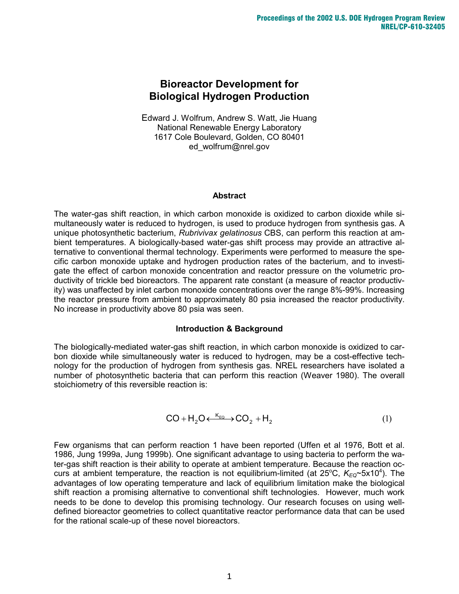# **Bioreactor Development for Biological Hydrogen Production**

Edward J. Wolfrum, Andrew S. Watt, Jie Huang National Renewable Energy Laboratory 1617 Cole Boulevard, Golden, CO 80401 ed\_wolfrum@nrel.gov

#### **Abstract**

The water-gas shift reaction, in which carbon monoxide is oxidized to carbon dioxide while simultaneously water is reduced to hydrogen, is used to produce hydrogen from synthesis gas. A unique photosynthetic bacterium, *Rubrivivax gelatinosus* CBS, can perform this reaction at ambient temperatures. A biologically-based water-gas shift process may provide an attractive alternative to conventional thermal technology. Experiments were performed to measure the specific carbon monoxide uptake and hydrogen production rates of the bacterium, and to investigate the effect of carbon monoxide concentration and reactor pressure on the volumetric productivity of trickle bed bioreactors. The apparent rate constant (a measure of reactor productivity) was unaffected by inlet carbon monoxide concentrations over the range 8%-99%. Increasing the reactor pressure from ambient to approximately 80 psia increased the reactor productivity. No increase in productivity above 80 psia was seen.

### **Introduction & Background**

The biologically-mediated water-gas shift reaction, in which carbon monoxide is oxidized to carbon dioxide while simultaneously water is reduced to hydrogen, may be a cost-effective technology for the production of hydrogen from synthesis gas. NREL researchers have isolated a number of photosynthetic bacteria that can perform this reaction (Weaver 1980). The overall stoichiometry of this reversible reaction is:

$$
CO + H_2O \xleftarrow{K_{EQ}} CO_2 + H_2
$$
 (1)

Few organisms that can perform reaction 1 have been reported (Uffen et al 1976, Bott et al. 1986, Jung 1999a, Jung 1999b). One significant advantage to using bacteria to perform the water-gas shift reaction is their ability to operate at ambient temperature. Because the reaction occurs at ambient temperature, the reaction is not equilibrium-limited (at 25<sup>o</sup>C, K<sub>EQ</sub>~5x10<sup>4</sup>). The advantages of low operating temperature and lack of equilibrium limitation make the biological shift reaction a promising alternative to conventional shift technologies. However, much work needs to be done to develop this promising technology. Our research focuses on using welldefined bioreactor geometries to collect quantitative reactor performance data that can be used for the rational scale-up of these novel bioreactors.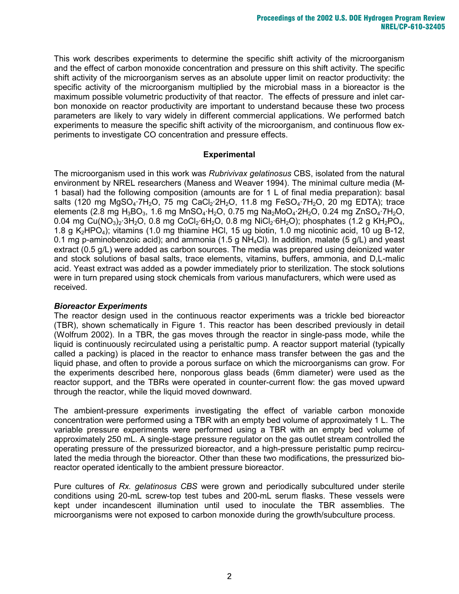This work describes experiments to determine the specific shift activity of the microorganism and the effect of carbon monoxide concentration and pressure on this shift activity. The specific shift activity of the microorganism serves as an absolute upper limit on reactor productivity: the specific activity of the microorganism multiplied by the microbial mass in a bioreactor is the maximum possible volumetric productivity of that reactor. The effects of pressure and inlet carbon monoxide on reactor productivity are important to understand because these two process parameters are likely to vary widely in different commercial applications. We performed batch experiments to measure the specific shift activity of the microorganism, and continuous flow experiments to investigate CO concentration and pressure effects.

### **Experimental**

The microorganism used in this work was *Rubrivivax gelatinosus* CBS, isolated from the natural environment by NREL researchers (Maness and Weaver 1994). The minimal culture media (M-1 basal) had the following composition (amounts are for 1 L of final media preparation): basal salts (120 mg MgSO<sub>4</sub>·7H<sub>2</sub>O, 75 mg CaCl<sub>2</sub>·2H<sub>2</sub>O, 11.8 mg FeSO<sub>4</sub>·7H<sub>2</sub>O, 20 mg EDTA); trace elements (2.8 mg H<sub>3</sub>BO<sub>3</sub>, 1.6 mg MnSO<sub>4</sub>·H<sub>2</sub>O, 0.75 mg Na<sub>2</sub>MoO<sub>4</sub>·2H<sub>2</sub>O, 0.24 mg ZnSO<sub>4</sub>·7H<sub>2</sub>O, 0.04 mg Cu(NO<sub>3</sub>)<sub>2</sub>·3H<sub>2</sub>O, 0.8 mg CoCl<sub>2</sub>·6H<sub>2</sub>O, 0.8 mg NiCl<sub>2</sub>·6H<sub>2</sub>O); phosphates (1.2 g KH<sub>2</sub>PO<sub>4</sub>, 1.8 g  $K_2HPO_4$ ); vitamins (1.0 mg thiamine HCl, 15 ug biotin, 1.0 mg nicotinic acid, 10 ug B-12, 0.1 mg p-aminobenzoic acid); and ammonia (1.5 g  $NH_4Cl$ ). In addition, malate (5 g/L) and yeast extract (0.5 g/L) were added as carbon sources. The media was prepared using deionized water and stock solutions of basal salts, trace elements, vitamins, buffers, ammonia, and D,L-malic acid. Yeast extract was added as a powder immediately prior to sterilization. The stock solutions were in turn prepared using stock chemicals from various manufacturers, which were used as received.

### *Bioreactor Experiments*

The reactor design used in the continuous reactor experiments was a trickle bed bioreactor (TBR), shown schematically in Figure 1. This reactor has been described previously in detail (Wolfrum 2002). In a TBR, the gas moves through the reactor in single-pass mode, while the liquid is continuously recirculated using a peristaltic pump. A reactor support material (typically called a packing) is placed in the reactor to enhance mass transfer between the gas and the liquid phase, and often to provide a porous surface on which the microorganisms can grow. For the experiments described here, nonporous glass beads (6mm diameter) were used as the reactor support, and the TBRs were operated in counter-current flow: the gas moved upward through the reactor, while the liquid moved downward.

The ambient-pressure experiments investigating the effect of variable carbon monoxide concentration were performed using a TBR with an empty bed volume of approximately 1 L. The variable pressure experiments were performed using a TBR with an empty bed volume of approximately 250 mL. A single-stage pressure regulator on the gas outlet stream controlled the operating pressure of the pressurized bioreactor, and a high-pressure peristaltic pump recirculated the media through the bioreactor. Other than these two modifications, the pressurized bioreactor operated identically to the ambient pressure bioreactor.

Pure cultures of *Rx. gelatinosus CBS* were grown and periodically subcultured under sterile conditions using 20-mL screw-top test tubes and 200-mL serum flasks. These vessels were kept under incandescent illumination until used to inoculate the TBR assemblies. The microorganisms were not exposed to carbon monoxide during the growth/subculture process.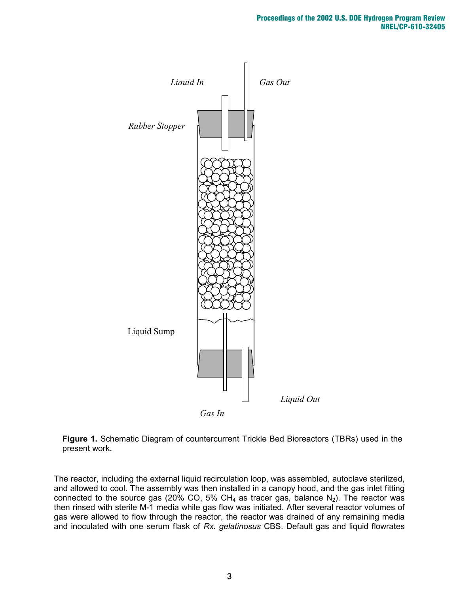



The reactor, including the external liquid recirculation loop, was assembled, autoclave sterilized, and allowed to cool. The assembly was then installed in a canopy hood, and the gas inlet fitting connected to the source gas (20% CO, 5% CH<sub>4</sub> as tracer gas, balance  $N_2$ ). The reactor was then rinsed with sterile M-1 media while gas flow was initiated. After several reactor volumes of gas were allowed to flow through the reactor, the reactor was drained of any remaining media and inoculated with one serum flask of *Rx. gelatinosus* CBS. Default gas and liquid flowrates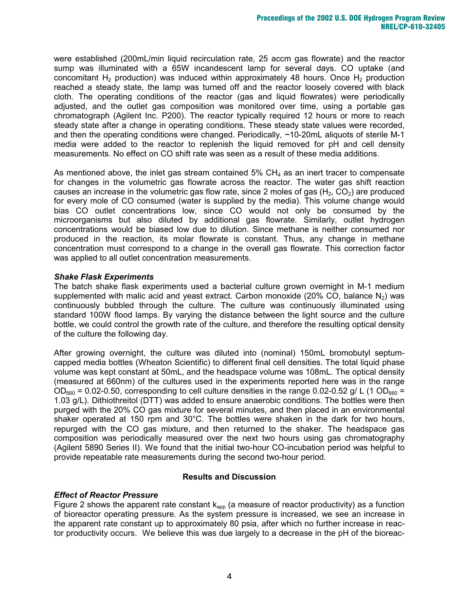were established (200mL/min liquid recirculation rate, 25 accm gas flowrate) and the reactor sump was illuminated with a 65W incandescent lamp for several days. CO uptake (and concomitant  $H_2$  production) was induced within approximately 48 hours. Once  $H_2$  production reached a steady state, the lamp was turned off and the reactor loosely covered with black cloth. The operating conditions of the reactor (gas and liquid flowrates) were periodically adjusted, and the outlet gas composition was monitored over time, using a portable gas chromatograph (Agilent Inc. P200). The reactor typically required 12 hours or more to reach steady state after a change in operating conditions. These steady state values were recorded, and then the operating conditions were changed. Periodically, ~10-20mL aliquots of sterile M-1 media were added to the reactor to replenish the liquid removed for pH and cell density measurements. No effect on CO shift rate was seen as a result of these media additions.

As mentioned above, the inlet gas stream contained  $5\%$  CH<sub>4</sub> as an inert tracer to compensate for changes in the volumetric gas flowrate across the reactor. The water gas shift reaction causes an increase in the volumetric gas flow rate, since 2 moles of gas  $(H_2, CO_2)$  are produced for every mole of CO consumed (water is supplied by the media). This volume change would bias CO outlet concentrations low, since CO would not only be consumed by the microorganisms but also diluted by additional gas flowrate. Similarly, outlet hydrogen concentrations would be biased low due to dilution. Since methane is neither consumed nor produced in the reaction, its molar flowrate is constant. Thus, any change in methane concentration must correspond to a change in the overall gas flowrate. This correction factor was applied to all outlet concentration measurements.

## *Shake Flask Experiments*

The batch shake flask experiments used a bacterial culture grown overnight in M-1 medium supplemented with malic acid and yeast extract. Carbon monoxide (20% CO, balance  $N_2$ ) was continuously bubbled through the culture. The culture was continuously illuminated using standard 100W flood lamps. By varying the distance between the light source and the culture bottle, we could control the growth rate of the culture, and therefore the resulting optical density of the culture the following day.

After growing overnight, the culture was diluted into (nominal) 150mL bromobutyl septumcapped media bottles (Wheaton Scientific) to different final cell densities. The total liquid phase volume was kept constant at 50mL, and the headspace volume was 108mL. The optical density (measured at 660nm) of the cultures used in the experiments reported here was in the range  $OD_{660}$  = 0.02-0.50, corresponding to cell culture densities in the range 0.02-0.52 g/ L (1 OD<sub>660</sub> = 1.03 g/L). Dithiothreitol (DTT) was added to ensure anaerobic conditions. The bottles were then purged with the 20% CO gas mixture for several minutes, and then placed in an environmental shaker operated at 150 rpm and 30°C. The bottles were shaken in the dark for two hours, repurged with the CO gas mixture, and then returned to the shaker. The headspace gas composition was periodically measured over the next two hours using gas chromatography (Agilent 5890 Series II). We found that the initial two-hour CO-incubation period was helpful to provide repeatable rate measurements during the second two-hour period.

### **Results and Discussion**

### *Effect of Reactor Pressure*

Figure 2 shows the apparent rate constant  $k_{\text{ano}}$  (a measure of reactor productivity) as a function of bioreactor operating pressure. As the system pressure is increased, we see an increase in the apparent rate constant up to approximately 80 psia, after which no further increase in reactor productivity occurs. We believe this was due largely to a decrease in the pH of the bioreac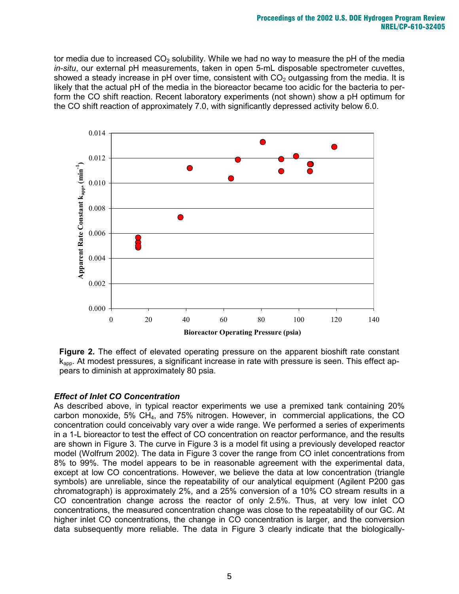tor media due to increased  $CO<sub>2</sub>$  solubility. While we had no way to measure the pH of the media *in-situ*, our external pH measurements, taken in open 5-mL disposable spectrometer cuvettes, showed a steady increase in pH over time, consistent with  $CO<sub>2</sub>$  outgassing from the media. It is likely that the actual pH of the media in the bioreactor became too acidic for the bacteria to perform the CO shift reaction. Recent laboratory experiments (not shown) show a pH optimum for the CO shift reaction of approximately 7.0, with significantly depressed activity below 6.0.



**Figure 2.** The effect of elevated operating pressure on the apparent bioshift rate constant  $k<sub>apo</sub>$ . At modest pressures, a significant increase in rate with pressure is seen. This effect appears to diminish at approximately 80 psia.

## *Effect of Inlet CO Concentration*

As described above, in typical reactor experiments we use a premixed tank containing 20% carbon monoxide, 5% CH4, and 75% nitrogen. However, in commercial applications, the CO concentration could conceivably vary over a wide range. We performed a series of experiments in a 1-L bioreactor to test the effect of CO concentration on reactor performance, and the results are shown in Figure 3. The curve in Figure 3 is a model fit using a previously developed reactor model (Wolfrum 2002). The data in Figure 3 cover the range from CO inlet concentrations from 8% to 99%. The model appears to be in reasonable agreement with the experimental data, except at low CO concentrations. However, we believe the data at low concentration (triangle symbols) are unreliable, since the repeatability of our analytical equipment (Agilent P200 gas chromatograph) is approximately 2%, and a 25% conversion of a 10% CO stream results in a CO concentration change across the reactor of only 2.5%. Thus, at very low inlet CO concentrations, the measured concentration change was close to the repeatability of our GC. At higher inlet CO concentrations, the change in CO concentration is larger, and the conversion data subsequently more reliable. The data in Figure 3 clearly indicate that the biologically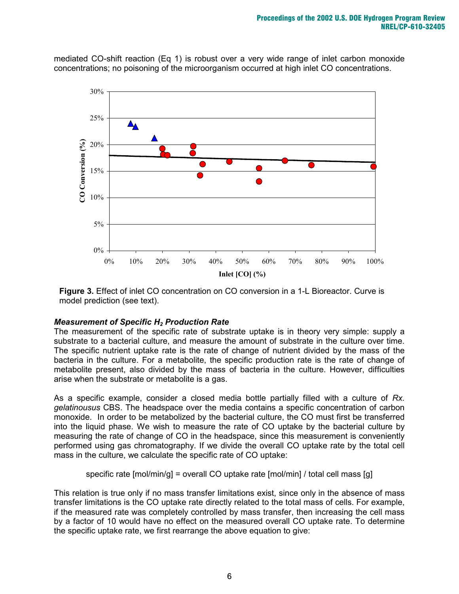mediated CO-shift reaction (Eq 1) is robust over a very wide range of inlet carbon monoxide concentrations; no poisoning of the microorganism occurred at high inlet CO concentrations.



**Figure 3.** Effect of inlet CO concentration on CO conversion in a 1-L Bioreactor. Curve is model prediction (see text).

### *Measurement of Specific H2 Production Rate*

The measurement of the specific rate of substrate uptake is in theory very simple: supply a substrate to a bacterial culture, and measure the amount of substrate in the culture over time. The specific nutrient uptake rate is the rate of change of nutrient divided by the mass of the bacteria in the culture. For a metabolite, the specific production rate is the rate of change of metabolite present, also divided by the mass of bacteria in the culture. However, difficulties arise when the substrate or metabolite is a gas.

As a specific example, consider a closed media bottle partially filled with a culture of *Rx. gelatinousus* CBS. The headspace over the media contains a specific concentration of carbon monoxide. In order to be metabolized by the bacterial culture, the CO must first be transferred into the liquid phase. We wish to measure the rate of CO uptake by the bacterial culture by measuring the rate of change of CO in the headspace, since this measurement is conveniently performed using gas chromatography. If we divide the overall CO uptake rate by the total cell mass in the culture, we calculate the specific rate of CO uptake:

specific rate [mol/min/g] = overall CO uptake rate [mol/min] / total cell mass [g]

This relation is true only if no mass transfer limitations exist, since only in the absence of mass transfer limitations is the CO uptake rate directly related to the total mass of cells. For example, if the measured rate was completely controlled by mass transfer, then increasing the cell mass by a factor of 10 would have no effect on the measured overall CO uptake rate. To determine the specific uptake rate, we first rearrange the above equation to give: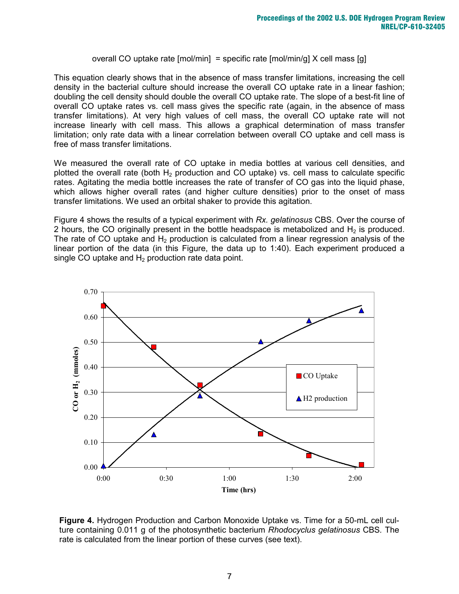overall CO uptake rate  $[mol/min] =$  specific rate  $[mol/min/g]$  X cell mass  $[g]$ 

This equation clearly shows that in the absence of mass transfer limitations, increasing the cell density in the bacterial culture should increase the overall CO uptake rate in a linear fashion; doubling the cell density should double the overall CO uptake rate. The slope of a best-fit line of overall CO uptake rates vs. cell mass gives the specific rate (again, in the absence of mass transfer limitations). At very high values of cell mass, the overall CO uptake rate will not increase linearly with cell mass. This allows a graphical determination of mass transfer limitation; only rate data with a linear correlation between overall CO uptake and cell mass is free of mass transfer limitations.

We measured the overall rate of CO uptake in media bottles at various cell densities, and plotted the overall rate (both  $H_2$  production and CO uptake) vs. cell mass to calculate specific rates. Agitating the media bottle increases the rate of transfer of CO gas into the liquid phase, which allows higher overall rates (and higher culture densities) prior to the onset of mass transfer limitations. We used an orbital shaker to provide this agitation.

Figure 4 shows the results of a typical experiment with *Rx. gelatinosus* CBS. Over the course of 2 hours, the CO originally present in the bottle headspace is metabolized and  $H_2$  is produced. The rate of CO uptake and  $H_2$  production is calculated from a linear regression analysis of the linear portion of the data (in this Figure, the data up to 1:40). Each experiment produced a single CO uptake and  $H_2$  production rate data point.



**Figure 4.** Hydrogen Production and Carbon Monoxide Uptake vs. Time for a 50-mL cell culture containing 0.011 g of the photosynthetic bacterium *Rhodocyclus gelatinosus* CBS*.* The rate is calculated from the linear portion of these curves (see text).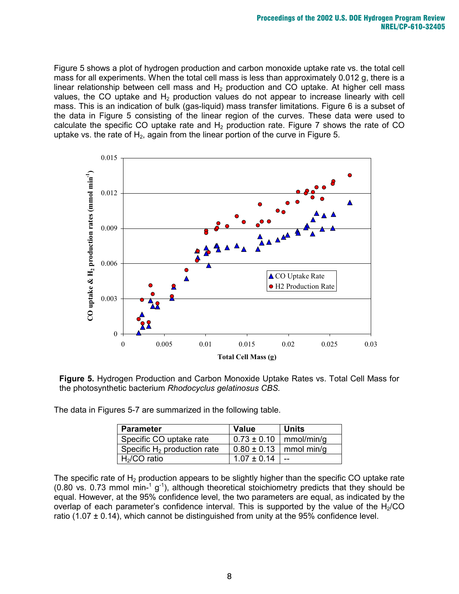Figure 5 shows a plot of hydrogen production and carbon monoxide uptake rate vs. the total cell mass for all experiments. When the total cell mass is less than approximately 0.012 g, there is a linear relationship between cell mass and  $H_2$  production and CO uptake. At higher cell mass values, the CO uptake and  $H_2$  production values do not appear to increase linearly with cell mass. This is an indication of bulk (gas-liquid) mass transfer limitations. Figure 6 is a subset of the data in Figure 5 consisting of the linear region of the curves. These data were used to calculate the specific CO uptake rate and  $H_2$  production rate. Figure 7 shows the rate of CO uptake vs. the rate of  $H_2$ , again from the linear portion of the curve in Figure 5.



**Figure 5.** Hydrogen Production and Carbon Monoxide Uptake Rates vs. Total Cell Mass for the photosynthetic bacterium *Rhodocyclus gelatinosus CBS.*

The data in Figures 5-7 are summarized in the following table.

| <b>Parameter</b>               | <b>Value</b>                 | <b>Units</b> |
|--------------------------------|------------------------------|--------------|
| Specific CO uptake rate        | $0.73 \pm 0.10$   mmol/min/g |              |
| Specific $H_2$ production rate | $0.80 \pm 0.13$   mmol min/g |              |
| $H2/CO$ ratio                  | $1.07 \pm 0.14$              | $-$          |

The specific rate of  $H_2$  production appears to be slightly higher than the specific CO uptake rate (0.80 vs. 0.73 mmol min-<sup>1</sup> g<sup>-1</sup>), although theoretical stoichiometry predicts that they should be equal. However, at the 95% confidence level, the two parameters are equal, as indicated by the overlap of each parameter's confidence interval. This is supported by the value of the  $H<sub>2</sub>/CO$ ratio (1.07  $\pm$  0.14), which cannot be distinguished from unity at the 95% confidence level.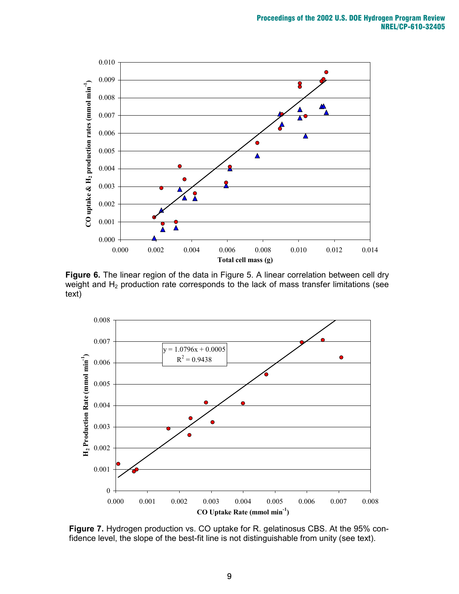

**Figure 6.** The linear region of the data in Figure 5. A linear correlation between cell dry weight and  $H_2$  production rate corresponds to the lack of mass transfer limitations (see text)



**Figure 7.** Hydrogen production vs. CO uptake for R. gelatinosus CBS. At the 95% confidence level, the slope of the best-fit line is not distinguishable from unity (see text).